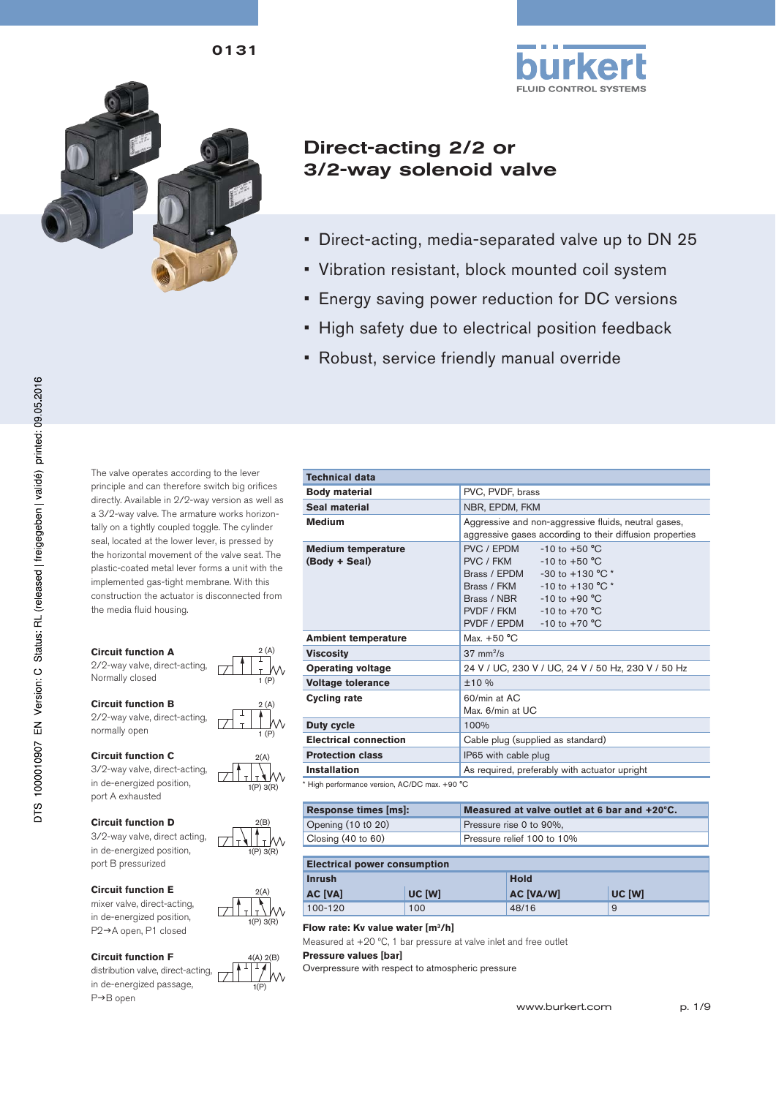0131



# Direct-acting 2/2 or 3/2-way solenoid valve

- Direct-acting, media-separated valve up to DN 25
- Vibration resistant, block mounted coil system
- Energy saving power reduction for DC versions
- High safety due to electrical position feedback
- Robust, service friendly manual override

The valve operates according to the lever principle and can therefore switch big orifices directly. Available in 2/2-way version as well as a 3/2-way valve. The armature works horizontally on a tightly coupled toggle. The cylinder seal, located at the lower lever, is pressed by the horizontal movement of the valve seat. The plastic-coated metal lever forms a unit with the implemented gas-tight membrane. With this construction the actuator is disconnected from the media fluid housing.

#### **Circuit function A**

2/2-way valve, direct-acting, Normally closed

**Circuit function B**

2/2-way valve, direct-acting, normally open

#### **Circuit function C**

3/2-way valve, direct-acting, in de-energized position, port A exhausted

#### **Circuit function D**

3/2-way valve, direct acting, in de-energized position, port B pressurized

#### **Circuit function E**

mixer valve, direct-acting, in de-energized position, P2→A open, P1 closed

#### **Circuit function F**

distribution valve, direct-acting, in de-energized passage, P→B open

| <b>Technical data</b>                                           |                                                                                                                                                                                                                                                              |
|-----------------------------------------------------------------|--------------------------------------------------------------------------------------------------------------------------------------------------------------------------------------------------------------------------------------------------------------|
| <b>Body material</b>                                            | PVC, PVDF, brass                                                                                                                                                                                                                                             |
| Seal material                                                   | NBR, EPDM, FKM                                                                                                                                                                                                                                               |
| <b>Medium</b>                                                   | Aggressive and non-aggressive fluids, neutral gases,<br>aggressive gases according to their diffusion properties                                                                                                                                             |
| <b>Medium temperature</b><br>(Body + Seal)                      | PVC / FPDM<br>$-10$ to $+50$ °C<br>PVC / FKM<br>$-10$ to $+50$ °C<br>Brass / EPDM $-30$ to $+130$ °C $*$<br>$-10$ to $+130$ °C $*$<br>Brass / FKM<br>Brass / NBR<br>$-10$ to $+90$ °C<br>$-10$ to $+70$ °C<br>PVDF / FKM<br>PVDF / EPDM<br>$-10$ to $+70$ °C |
| <b>Ambient temperature</b>                                      | Max. $+50 °C$                                                                                                                                                                                                                                                |
| <b>Viscosity</b>                                                | $37 \text{ mm}^2/\text{s}$                                                                                                                                                                                                                                   |
| <b>Operating voltage</b>                                        | 24 V / UC, 230 V / UC, 24 V / 50 Hz, 230 V / 50 Hz                                                                                                                                                                                                           |
| <b>Voltage tolerance</b>                                        | ±10%                                                                                                                                                                                                                                                         |
| <b>Cycling rate</b>                                             | $60/m$ in at AC<br>Max. 6/min at UC                                                                                                                                                                                                                          |
| <b>Duty cycle</b>                                               | 100%                                                                                                                                                                                                                                                         |
| <b>Electrical connection</b>                                    | Cable plug (supplied as standard)                                                                                                                                                                                                                            |
| <b>Protection class</b>                                         | IP65 with cable plug                                                                                                                                                                                                                                         |
| Installation                                                    | As required, preferably with actuator upright                                                                                                                                                                                                                |
| $\star$ High nextermanas varoian $\Lambda$ C/DC may $\pm$ 00.80 |                                                                                                                                                                                                                                                              |

\* High performance version, AC/DC max. +90 °C

| Response times [ms]:          | Measured at valve outlet at 6 bar and +20°C. |
|-------------------------------|----------------------------------------------|
| Opening (10 t0 20)            | Pressure rise 0 to 90%,                      |
| Closing $(40 \text{ to } 60)$ | Pressure relief 100 to 10%                   |

#### **Electrical power consumption**

| <b>Inrush</b>  |        | <b>Hold</b>      |        |  |  |
|----------------|--------|------------------|--------|--|--|
| <b>AC [VA]</b> | UC [W] | <b>AC [VA/W]</b> | UC [W] |  |  |
| 100-120        | 100    | 48/16            | 9      |  |  |

#### **Flow rate: Kv value water [m3 /h]**

2(A)

2(A)

1 (P)

2 (A)

1 (P) 2 (A)

1(P) 3(R)

 $2(B)$ 

1(P) 3(R)

тW

1(P) 3(R)

 $(A)$   $2(R)$ 

1(P)

Measured at  $+20$  °C, 1 bar pressure at valve inlet and free outlet **Pressure values [bar]**

Overpressure with respect to atmospheric pressure



www.burkert.com p. 1/9

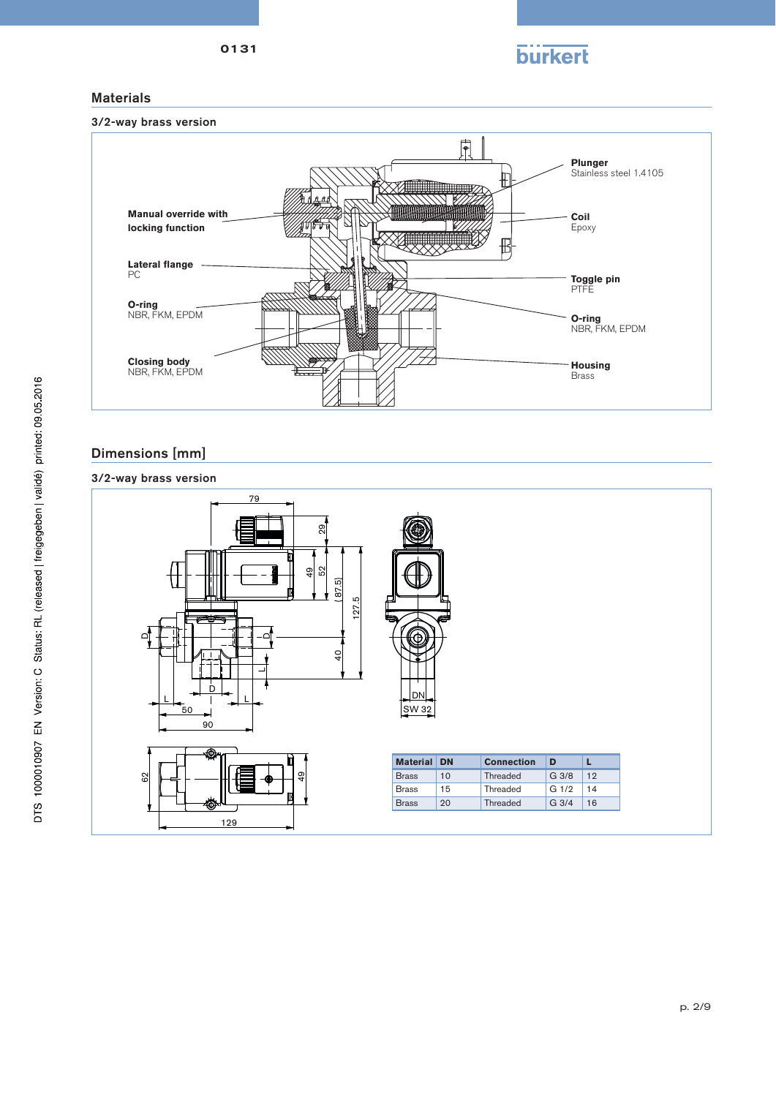**burkert** 

## 0131

## Materials



# Dimensions [mm]

## 3/2-way brass version

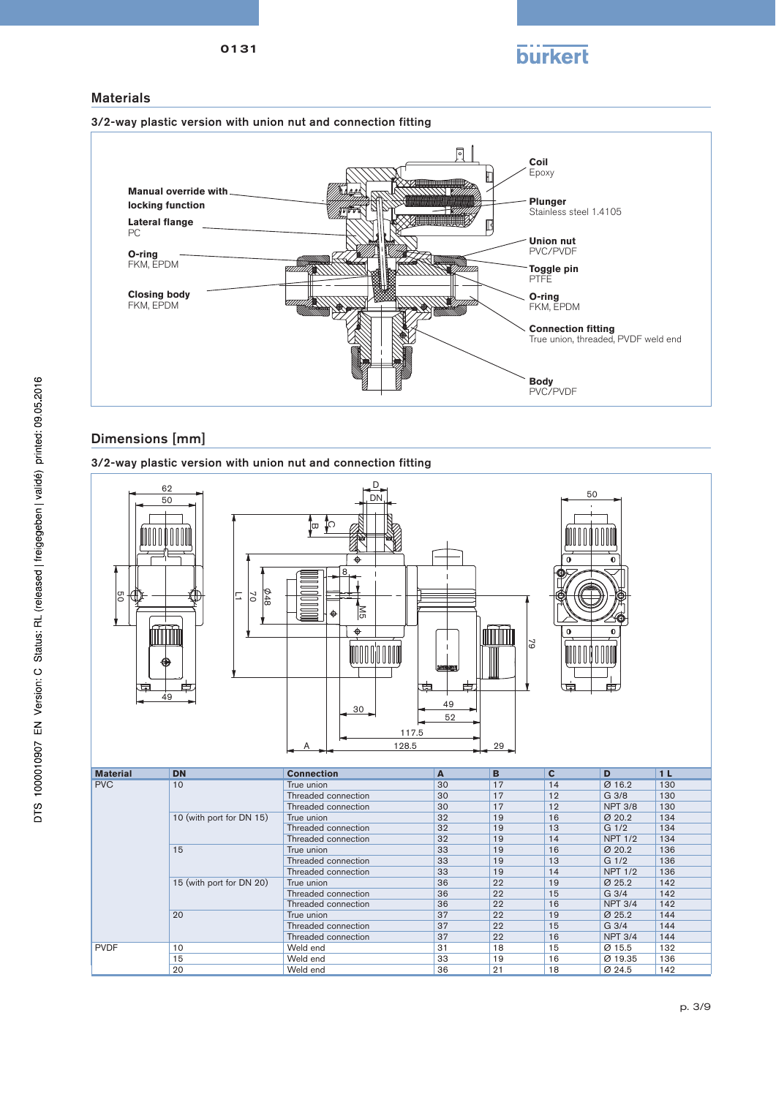

### **Materials**

3/2-way plastic version with union nut and connection fitting



### Dimensions [mm]

3/2-way plastic version with union nut and connection fitting



Threaded connection 32 19 14 NPT 1/2 134<br>True union 33 19 16  $\varnothing$  20.2 136 15 True union 33 19 16 Ø 20.2 136 Threaded connection 33 19 13 G 1/2 136 Threaded connection 23 19 14 NPT 1/2 136<br>True union 36 22 19 0252 142 15 (with port for DN 20) True union<br>
Threaded connection 36 22 19 0 25.2 142 Threaded connection 36 22 15 G 3/4 142<br>
Threaded connection 36 22 16 NPT 3/4 142 Threaded connection 36 22 16 NPT 3/4 142<br>True union 37 22 19 0 25.2 144 20 True union 37 22 19 Ø 25.2 144 Threaded connection 37 22 15 G 3/4 144<br>
Threaded connection 37 22 16 NPT 3/4 144 Threaded connection 37 22 16 NPT 3/4 144<br>Weld end 31 18 15  $\varnothing$  15.5 132 PVDF | 10 | Weld end | 31 | 18 | 15 | Ø 15.5 | 132 15 Neld end 33 19 16 Ø 19.35 136 20 Weld end 36 21 18 Ø 24.5 142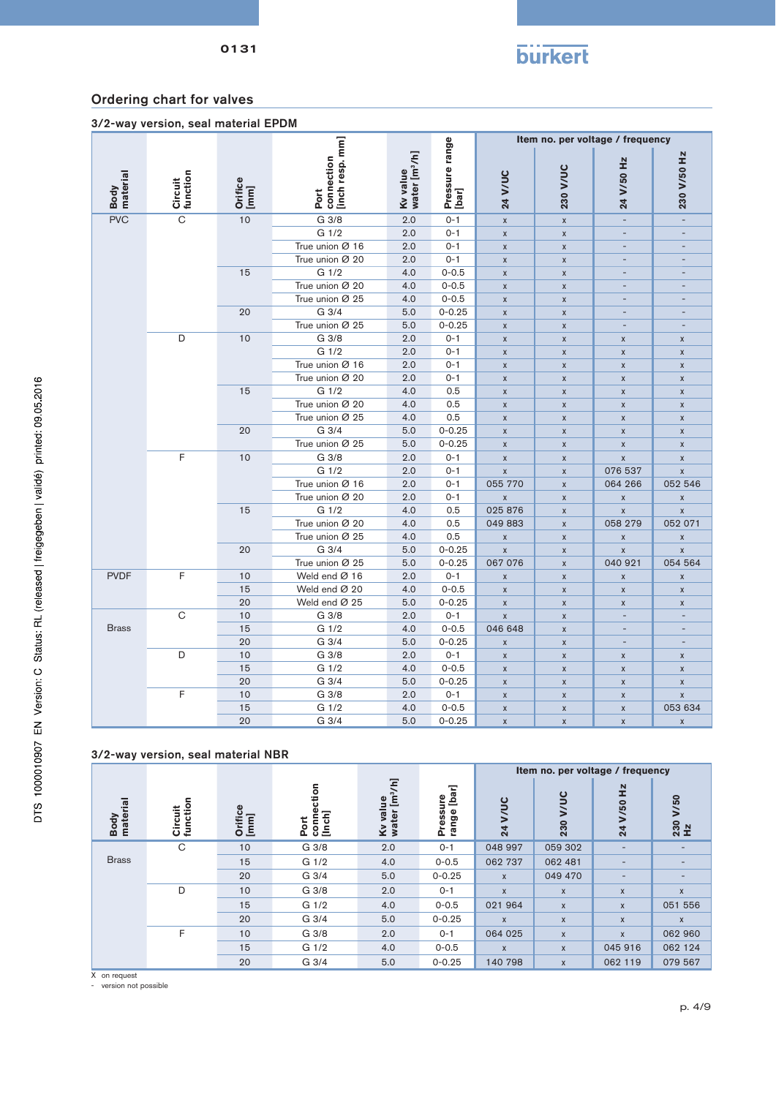

| 3/2-way version, seal material EPDM |  |  |  |
|-------------------------------------|--|--|--|
|-------------------------------------|--|--|--|

|                  |                     |                 |                                       |                                       |                         |                         |                    | Item no. per voltage / frequency |                    |
|------------------|---------------------|-----------------|---------------------------------------|---------------------------------------|-------------------------|-------------------------|--------------------|----------------------------------|--------------------|
| Body<br>material | Circuit<br>function | Orifice<br>[mm] | Port<br>connection<br>[inch resp. mm] | Kv value<br>water [m <sup>3</sup> /h] | Pressure range<br>[bar] | 24 V/UC                 | 230 V/UC           | 24 V/50 Hz                       | 230 V/50 Hz        |
| <b>PVC</b>       | $\overline{C}$      | 10              | G 3/8                                 | 2.0                                   | $0 - 1$                 | $\pmb{\mathsf{X}}$      | $\pmb{\mathsf{X}}$ | $\sim$                           | $\bar{a}$          |
|                  |                     |                 | G 1/2                                 | 2.0                                   | $0 - 1$                 | $\pmb{\mathsf{X}}$      | $\pmb{\mathsf{X}}$ |                                  |                    |
|                  |                     |                 | True union Ø 16                       | 2.0                                   | $0 - 1$                 | $\pmb{\mathsf{X}}$      | $\pmb{\mathsf{X}}$ | $\overline{a}$                   |                    |
|                  |                     |                 | True union Ø 20                       | 2.0                                   | $0 - 1$                 | $\pmb{\mathsf{X}}$      | $\pmb{\mathsf{X}}$ |                                  |                    |
|                  |                     | 15              | G 1/2                                 | 4.0                                   | $0 - 0.5$               | $\pmb{\mathsf{X}}$      | $\pmb{\mathsf{x}}$ | ÷,                               |                    |
|                  |                     |                 | True union Ø 20                       | 4.0                                   | $0 - 0.5$               | $\pmb{\mathsf{X}}$      | $\pmb{\mathsf{X}}$ | $\overline{\phantom{a}}$         | ٠                  |
|                  |                     |                 | True union Ø 25                       | 4.0                                   | $0 - 0.5$               | $\pmb{\mathsf{X}}$      | $\pmb{\mathsf{x}}$ |                                  |                    |
|                  |                     | 20              | G 3/4                                 | 5.0                                   | $0 - 0.25$              | $\pmb{\mathsf{X}}$      | $\pmb{\chi}$       | $\overline{\phantom{a}}$         |                    |
|                  |                     |                 | True union Ø 25                       | 5.0                                   | $0 - 0.25$              | $\pmb{\mathsf{X}}$      | $\pmb{\mathsf{x}}$ | $\overline{\phantom{a}}$         |                    |
|                  | D                   | $10$            | G 3/8                                 | 2.0                                   | $0 - 1$                 | $\pmb{\mathsf{X}}$      | $\pmb{\mathsf{x}}$ | X                                | $\pmb{\mathsf{X}}$ |
|                  |                     |                 | G <sub>1/2</sub>                      | 2.0                                   | $0 - 1$                 | $\pmb{\mathsf{X}}$      | $\pmb{\mathsf{x}}$ | $\pmb{\chi}$                     | $\mathsf{x}$       |
|                  |                     |                 | True union Ø 16                       | 2.0                                   | $0 - 1$                 | X                       | $\pmb{\mathsf{x}}$ | $\pmb{\mathsf{x}}$               | $\pmb{\mathsf{X}}$ |
|                  |                     |                 | True union Ø 20                       | 2.0                                   | $0 - 1$                 | $\pmb{\mathsf{X}}$      | $\pmb{\mathsf{X}}$ | $\pmb{\mathsf{X}}$               | $\pmb{\mathsf{X}}$ |
|                  |                     | 15              | G 1/2                                 | 4.0                                   | 0.5                     | $\pmb{\mathsf{X}}$      | $\mathsf{x}$       | $\pmb{\chi}$                     | $\mathsf{x}$       |
|                  |                     |                 | True union Ø 20                       | 4.0                                   | 0.5                     | X                       | $\pmb{\mathsf{X}}$ | $\pmb{\mathsf{x}}$               | $\pmb{\mathsf{X}}$ |
|                  |                     |                 | True union Ø 25                       | 4.0                                   | 0.5                     | $\pmb{\mathsf{X}}$      | $\pmb{\mathsf{X}}$ | $\pmb{\mathsf{X}}$               | $\pmb{\mathsf{X}}$ |
|                  |                     | 20              | G 3/4                                 | 5.0                                   | $0 - 0.25$              | $\pmb{\mathsf{X}}$      | $\pmb{\mathsf{X}}$ | $\pmb{\mathsf{x}}$               | $\pmb{\mathsf{X}}$ |
|                  |                     |                 | True union $\varnothing$ 25           | 5.0                                   | $0 - 0.25$              | $\pmb{\mathsf{X}}$      | $\pmb{\mathsf{X}}$ | $\pmb{\mathsf{X}}$               | $\pmb{\mathsf{X}}$ |
|                  | F                   | 10              | G 3/8                                 | 2.0                                   | $0 - 1$                 | $\pmb{\mathsf{X}}$      | $\pmb{\mathsf{x}}$ | $\mathsf{x}$                     | $\pmb{\mathsf{X}}$ |
|                  |                     |                 | G 1/2                                 | 2.0                                   | $0 - 1$                 | $\mathsf{x}$            | $\pmb{\mathsf{X}}$ | 076 537                          | $\pmb{\mathsf{X}}$ |
|                  |                     |                 | True union Ø 16                       | 2.0                                   | $0 - 1$                 | 055 770                 | $\pmb{\mathsf{X}}$ | 064 266                          | 052 546            |
|                  |                     |                 | True union Ø 20                       | 2.0                                   | $0 - 1$                 | $\overline{\mathsf{x}}$ | $\mathsf{x}$       | $\pmb{\chi}$                     | $\pmb{\mathsf{X}}$ |
|                  |                     | 15              | G 1/2                                 | 4.0                                   | 0.5                     | 025 876                 | $\pmb{\mathsf{X}}$ | $\pmb{\chi}$                     | $\pmb{\mathsf{X}}$ |
|                  |                     |                 | True union Ø 20                       | 4.0                                   | 0.5                     | 049 883                 | $\pmb{\mathsf{X}}$ | 058 279                          | 052 071            |
|                  |                     |                 | True union Ø 25                       | 4.0                                   | 0.5                     | $\mathsf{x}$            | $\pmb{\mathsf{x}}$ | $\pmb{\mathsf{X}}$               | $\pmb{\mathsf{X}}$ |
|                  |                     | 20              | G 3/4                                 | 5.0                                   | $0 - 0.25$              | $\pmb{\mathsf{X}}$      | $\pmb{\mathsf{X}}$ | $\pmb{\mathsf{X}}$               | $\pmb{\mathsf{X}}$ |
|                  |                     |                 | True union Ø 25                       | 5.0                                   | $0 - 0.25$              | 067 076                 | $\pmb{\mathsf{X}}$ | 040 921                          | 054 564            |
| <b>PVDF</b>      | F                   | 10              | Weld end Ø 16                         | 2.0                                   | $0 - 1$                 | $\pmb{\chi}$            | $\pmb{\mathsf{X}}$ | $\pmb{\mathsf{X}}$               | $\pmb{\mathsf{X}}$ |
|                  |                     | 15              | Weld end Ø 20                         | 4.0                                   | $0 - 0.5$               | X                       | $\pmb{\mathsf{x}}$ | $\pmb{\mathsf{x}}$               | $\pmb{\mathsf{X}}$ |
|                  |                     | 20              | Weld end Ø 25                         | 5.0                                   | $0 - 0.25$              | $\mathsf X$             | $\pmb{\mathsf{X}}$ | $\pmb{\mathsf{X}}$               | $\pmb{\mathsf{X}}$ |
|                  | C                   | 10              | G 3/8                                 | 2.0                                   | $0 - 1$                 | $\mathsf{x}$            | $\mathsf{x}$       | $\overline{a}$                   |                    |
| <b>Brass</b>     |                     | 15              | G 1/2                                 | 4.0                                   | $0 - 0.5$               | 046 648                 | $\pmb{\mathsf{X}}$ | $\overline{\phantom{a}}$         |                    |
|                  |                     | 20              | G 3/4                                 | 5.0                                   | $0 - 0.25$              | $\pmb{\mathsf{X}}$      | $\pmb{\mathsf{X}}$ | $\overline{\phantom{a}}$         |                    |
|                  | D                   | 10              | G 3/8                                 | 2.0                                   | $0 - 1$                 | X                       | $\pmb{\mathsf{X}}$ | $\pmb{\mathsf{x}}$               | $\pmb{\mathsf{X}}$ |
|                  |                     | 15              | G 1/2                                 | 4.0                                   | $0 - 0.5$               | $\pmb{\mathsf{X}}$      | $\pmb{\mathsf{X}}$ | $\pmb{\mathsf{X}}$               | $\pmb{\mathsf{X}}$ |
|                  |                     | 20              | G 3/4                                 | 5.0                                   | $0 - 0.25$              | $\pmb{\mathsf{X}}$      | $\pmb{\mathsf{X}}$ | $\pmb{\mathsf{X}}$               | $\pmb{\mathsf{X}}$ |
|                  | F                   | 10              | G 3/8                                 | 2.0                                   | $0 - 1$                 | X                       | $\pmb{\mathsf{X}}$ | $\pmb{\mathsf{X}}$               | $\pmb{\mathsf{X}}$ |
|                  |                     | 15              | G 1/2                                 | 4.0                                   | $0 - 0.5$               | $\pmb{\mathsf{X}}$      | $\pmb{\mathsf{X}}$ | $\pmb{\mathsf{X}}$               | 053 634            |
|                  |                     | 20              | G 3/4                                 | 5.0                                   | $0 - 0.25$              | $\pmb{\mathsf{X}}$      | $\pmb{\mathsf{X}}$ | $\pmb{\mathsf{X}}$               | $\pmb{\chi}$       |

#### 3/2-way version, seal material NBR

|                  |                     |                      |                                  |                                                  |                                |              | Item no. per voltage / frequency |                             |                  |
|------------------|---------------------|----------------------|----------------------------------|--------------------------------------------------|--------------------------------|--------------|----------------------------------|-----------------------------|------------------|
| material<br>Body | Circuit<br>function | ω<br>Orifice<br>[mm] | ction<br>conne<br>[Inch]<br>Port | [m <sup>3</sup> /h]<br>g<br>Ī<br>Kv val<br>water | [bar]<br>စ္<br>Pressu<br>range | ئ<br>24      | ပ္ခ<br>230                       | $\frac{N}{L}$<br>V/50<br>24 | /50<br>230<br>Hz |
|                  | C                   | 10                   | G 3/8                            | 2.0                                              | $0 - 1$                        | 048 997      | 059 302                          | ٠                           |                  |
| <b>Brass</b>     |                     | 15                   | G <sub>1/2</sub>                 | 4.0                                              | $0 - 0.5$                      | 062 737      | 062 481                          | $\overline{\phantom{0}}$    | -                |
|                  |                     | 20                   | G 3/4                            | 5.0                                              | $0 - 0.25$                     | $\mathsf{x}$ | 049 470                          | $\overline{\phantom{0}}$    | -                |
|                  | D                   | 10                   | G 3/8                            | 2.0                                              | $O - 1$                        | $\mathsf{x}$ | $\mathsf{x}$                     | X                           | X                |
|                  |                     | 15                   | G <sub>1/2</sub>                 | 4.0                                              | $0 - 0.5$                      | 021 964      | $\mathsf{x}$                     | X                           | 051 556          |
|                  |                     | 20                   | G 3/4                            | 5.0                                              | $0 - 0.25$                     | $\mathsf{X}$ | $\mathsf{x}$                     | X                           | $\mathsf{x}$     |
|                  | F                   | 10                   | G 3/8                            | 2.0                                              | $0 - 1$                        | 064 025      | $\boldsymbol{\mathsf{X}}$        | X                           | 062 960          |
|                  |                     | 15                   | G <sub>1/2</sub>                 | 4.0                                              | $0 - 0.5$                      | $\mathsf{x}$ | X                                | 045 916                     | 062 124          |
|                  |                     | 20                   | G 3/4                            | 5.0                                              | $0 - 0.25$                     | 140 798      | $\mathsf{x}$                     | 062 119                     | 079 567          |

X on request

- version not possible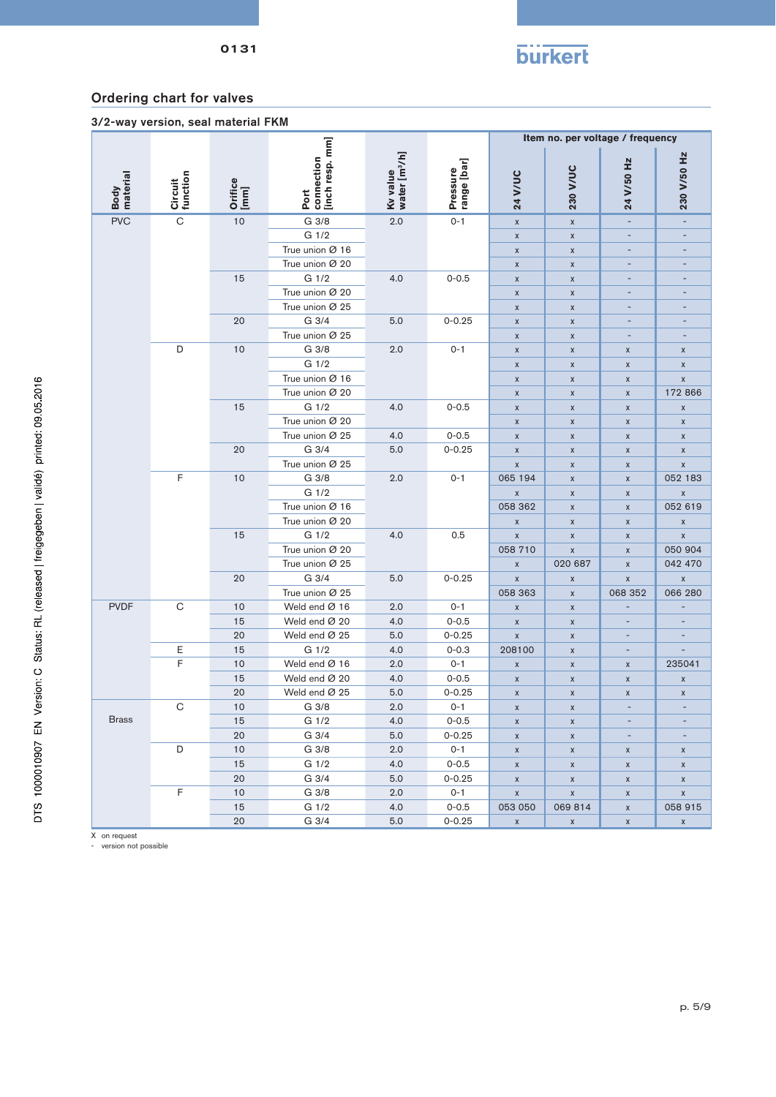

3/2-way version, seal material FKM

|                  |                     |                 |                                       |                                       |                         |                                          |                    | Item no. per voltage / frequency |                               |
|------------------|---------------------|-----------------|---------------------------------------|---------------------------------------|-------------------------|------------------------------------------|--------------------|----------------------------------|-------------------------------|
| Body<br>material | Circuit<br>function | Orifice<br>[mm] | connection<br>[inch resp. mm]<br>Port | Kv value<br>water [m <sup>3</sup> /h] | Pressure<br>range [bar] | <b>24 V/UC</b>                           | 230 V/UC           | 24 V/50 Hz                       | 230 V/50 Hz                   |
| <b>PVC</b>       | $\overline{C}$      | $10$            | G 3/8                                 | 2.0                                   | $0 - 1$                 | $\pmb{\mathsf{X}}$                       | $\pmb{\mathsf{X}}$ | $\qquad \qquad \blacksquare$     | $\overline{\phantom{a}}$      |
|                  |                     |                 | G 1/2                                 |                                       |                         | $\pmb{\chi}$                             | $\mathsf X$        | $\overline{a}$                   |                               |
|                  |                     |                 | True union Ø 16                       |                                       |                         | $\pmb{\mathsf{X}}$                       | $\mathsf X$        |                                  |                               |
|                  |                     |                 | True union Ø 20                       |                                       |                         | $\pmb{\mathsf{X}}$                       | $\mathsf X$        | $\overline{a}$                   |                               |
|                  |                     | 15              | G 1/2                                 | 4.0                                   | $0 - 0.5$               | $\pmb{\mathsf{x}}$                       | $\mathsf X$        | $\overline{\phantom{a}}$         | $\sim$                        |
|                  |                     |                 | True union Ø 20                       |                                       |                         | $\pmb{\mathsf{X}}$                       | $\mathsf X$        |                                  |                               |
|                  |                     |                 | True union Ø 25                       |                                       |                         | $\pmb{\mathsf{X}}$                       | $\mathsf X$        |                                  |                               |
|                  |                     | 20              | G 3/4                                 | 5.0                                   | $0 - 0.25$              | $\pmb{\mathsf{X}}$                       | $\mathsf X$        | $\overline{\phantom{a}}$         | $\overline{\phantom{a}}$      |
|                  |                     |                 | True union Ø 25                       |                                       |                         | $\pmb{\mathsf{X}}$                       | $\mathsf X$        |                                  |                               |
|                  | D                   | 10              | G 3/8                                 | 2.0                                   | $0 - 1$                 | $\pmb{\mathsf{X}}$                       | $\pmb{\mathsf{X}}$ | X                                | $\mathsf X$                   |
|                  |                     |                 | G 1/2                                 |                                       |                         | $\pmb{\mathsf{X}}$                       | X                  | X                                | $\mathsf X$                   |
|                  |                     |                 | True union Ø 16                       |                                       |                         | $\pmb{\mathsf{X}}$                       | $\mathsf X$        | X                                | $\pmb{\mathsf{X}}$            |
|                  |                     |                 | True union Ø 20                       |                                       |                         | $\pmb{\mathsf{X}}$                       | $\mathsf X$        | $\mathsf X$                      | 172 866                       |
|                  |                     | 15              | G 1/2                                 | 4.0                                   | $0 - 0.5$               | $\mathsf X$                              | X                  | $\mathsf X$                      | $\pmb{\mathsf{X}}$            |
|                  |                     |                 | True union Ø 20                       |                                       |                         | $\pmb{\mathsf{X}}$                       | $\mathsf X$        | $\mathsf X$                      | $\pmb{\mathsf{X}}$            |
|                  |                     |                 | True union Ø 25                       | 4.0                                   | $0 - 0.5$               | $\pmb{\chi}$                             | $\mathsf X$        | $\pmb{\mathsf{x}}$               | $\pmb{\mathsf{X}}$            |
|                  |                     | 20              | G 3/4                                 | 5.0                                   | $0 - 0.25$              | $\pmb{\mathsf{X}}$                       | X                  | $\mathsf X$                      | $\mathsf X$                   |
|                  |                     |                 | True union Ø 25                       |                                       |                         | $\pmb{\mathsf{X}}$                       | $\mathsf X$        | X                                | $\pmb{\mathsf{X}}$            |
|                  | F                   | 10              | G 3/8                                 | 2.0                                   | $0 - 1$                 | 065 194                                  | $\mathsf X$        | $\mathsf X$                      | 052 183                       |
|                  |                     |                 | G 1/2                                 |                                       |                         | $\pmb{\chi}$                             | X                  | $\mathsf X$                      | $\pmb{\mathsf{X}}$            |
|                  |                     |                 | True union Ø 16                       |                                       |                         | 058 362                                  | $\pmb{\mathsf{X}}$ | X                                | 052 619                       |
|                  |                     |                 | True union Ø 20                       |                                       |                         | $\pmb{\mathsf{X}}$                       | $\mathsf X$        | $\mathsf X$                      | $\pmb{\mathsf{X}}$            |
|                  |                     | 15              | G 1/2                                 | 4.0                                   | 0.5                     | $\pmb{\mathsf{X}}$                       | $\mathsf X$        | $\mathsf X$                      | $\pmb{\mathsf{X}}$            |
|                  |                     |                 | True union Ø 20                       |                                       |                         | 058 710                                  | $\pmb{\mathsf{X}}$ | X                                | 050 904                       |
|                  |                     |                 | True union Ø 25<br>G 3/4              |                                       |                         | $\pmb{\mathsf{X}}$                       | 020 687            | $\pmb{\mathsf{x}}$               | 042 470                       |
|                  |                     | 20              | True union Ø 25                       | 5.0                                   | $0 - 0.25$              | $\pmb{\mathsf{x}}$<br>058 363            | $\pmb{\mathsf{X}}$ | $\mathsf X$<br>068 352           | $\pmb{\mathsf{X}}$<br>066 280 |
| <b>PVDF</b>      | $\mathsf C$         | 10              | Weld end Ø 16                         | 2.0                                   | $0 - 1$                 |                                          | $\pmb{\mathsf{X}}$ | ÷,                               |                               |
|                  |                     | 15              | Weld end Ø 20                         | 4.0                                   | $0 - 0.5$               | $\pmb{\mathsf{X}}$<br>$\pmb{\mathsf{x}}$ | $\mathsf X$        |                                  |                               |
|                  |                     | 20              | Weld end Ø 25                         | 5.0                                   | $0 - 0.25$              | $\pmb{\mathsf{X}}$                       | X<br>$\mathsf X$   |                                  | -                             |
|                  | Ε                   | 15              | G 1/2                                 | 4.0                                   | $0 - 0.3$               | 208100                                   | $\pmb{\mathsf{X}}$ | $\overline{\phantom{a}}$         | $\overline{a}$                |
|                  | F                   | 10              | Weld end Ø 16                         | 2.0                                   | $0 - 1$                 | $\pmb{\mathsf{X}}$                       | $\pmb{\mathsf{X}}$ | X                                | 235041                        |
|                  |                     | 15              | Weld end Ø 20                         | 4.0                                   | $0 - 0.5$               | $\pmb{\mathsf{X}}$                       | X                  | X                                | X                             |
|                  |                     | 20              | Weld end Ø 25                         | 5.0                                   | $0 - 0.25$              | $\pmb{\mathsf{X}}$                       | $\mathsf X$        | $\mathsf X$                      | $\mathsf X$                   |
|                  | $\mathbf C$         | 10              | G 3/8                                 | 2.0                                   | $0 - 1$                 | $\pmb{\mathsf{X}}$                       | $\mathsf X$        |                                  |                               |
| <b>Brass</b>     |                     | 15              | G 1/2                                 | 4.0                                   | $0 - 0.5$               | X                                        | X                  |                                  |                               |
|                  |                     | 20              | G 3/4                                 | 5.0                                   | $0 - 0.25$              | $\mathsf X$                              | $\mathsf X$        |                                  |                               |
|                  | D                   | 10              | G 3/8                                 | 2.0                                   | $0 - 1$                 | $\mathsf X$                              | $\mathsf X$        | X                                | $\mathsf X$                   |
|                  |                     | 15              | G 1/2                                 | 4.0                                   | $0 - 0.5$               | $\mathsf X$                              | $\mathsf X$        | $\mathsf X$                      | $\mathsf X$                   |
|                  |                     | 20              | G 3/4                                 | 5.0                                   | $0 - 0.25$              | $\mathsf X$                              | $\mathsf X$        | $\mathsf X$                      | $\mathsf X$                   |
|                  | F                   | 10              | G 3/8                                 | 2.0                                   | $0 - 1$                 | $\mathsf X$                              | $\mathsf X$        | $\mathsf X$                      | $\mathsf X$                   |
|                  |                     | 15              | G 1/2                                 | 4.0                                   | $0 - 0.5$               | 053 050                                  | 069814             | $\mathsf X$                      | 058 915                       |
|                  |                     | 20              | G 3/4                                 | 5.0                                   | $0 - 0.25$              | $\mathsf X$                              | $\mathsf X$        | $\mathsf X$                      | $\mathsf X$                   |

X on request - version not possible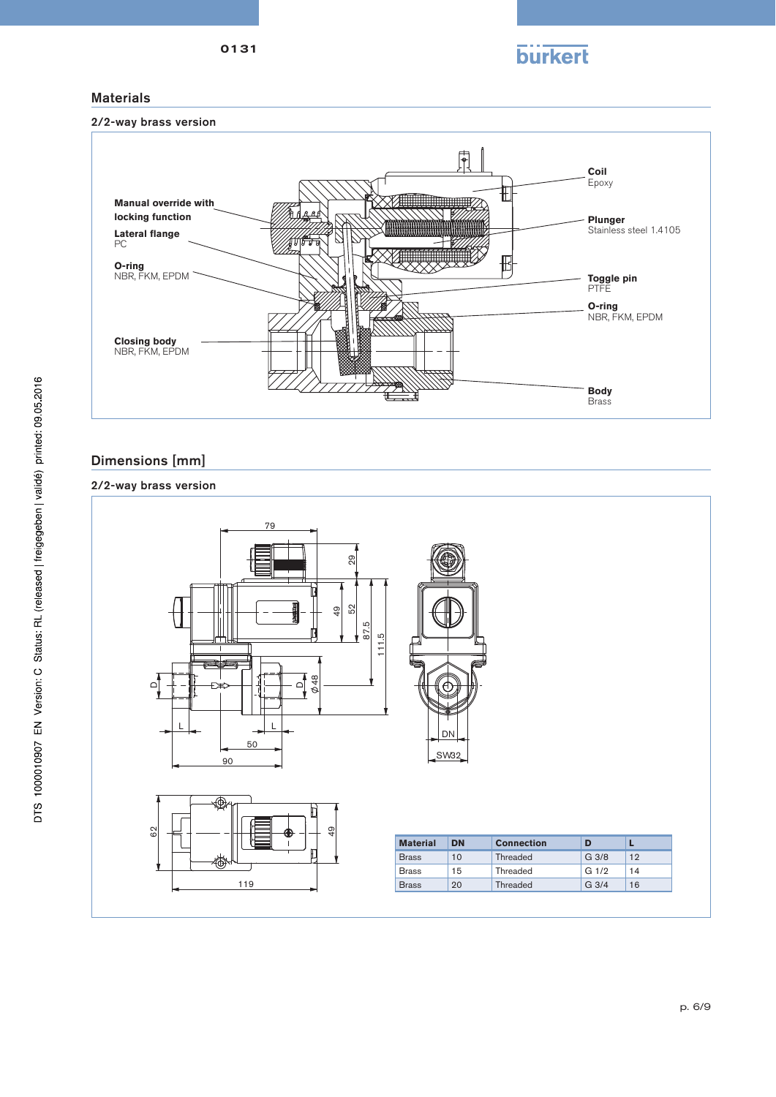



### **Materials**



# Dimensions [mm]

### 2/2-way brass version

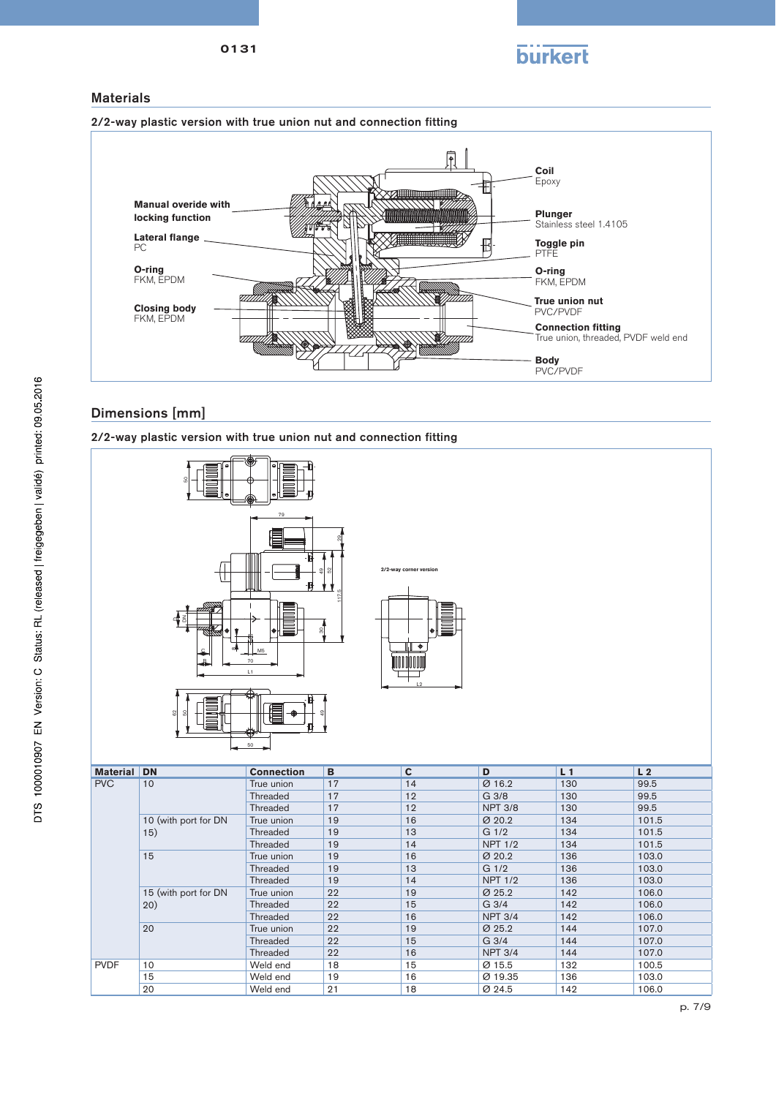

#### **Materials**





### Dimensions [mm]

2/2-way plastic version with true union nut and connection fitting



PVDF 10 Weld end 18 15 Ø 15.5 132 100.5

15 Weld end 19 16 Ø 19.35 136 103.0 20 Weld end 21 18 *Ø* 24.5 142 106.0

Threaded 22 16 NPT 3/4 144 107.0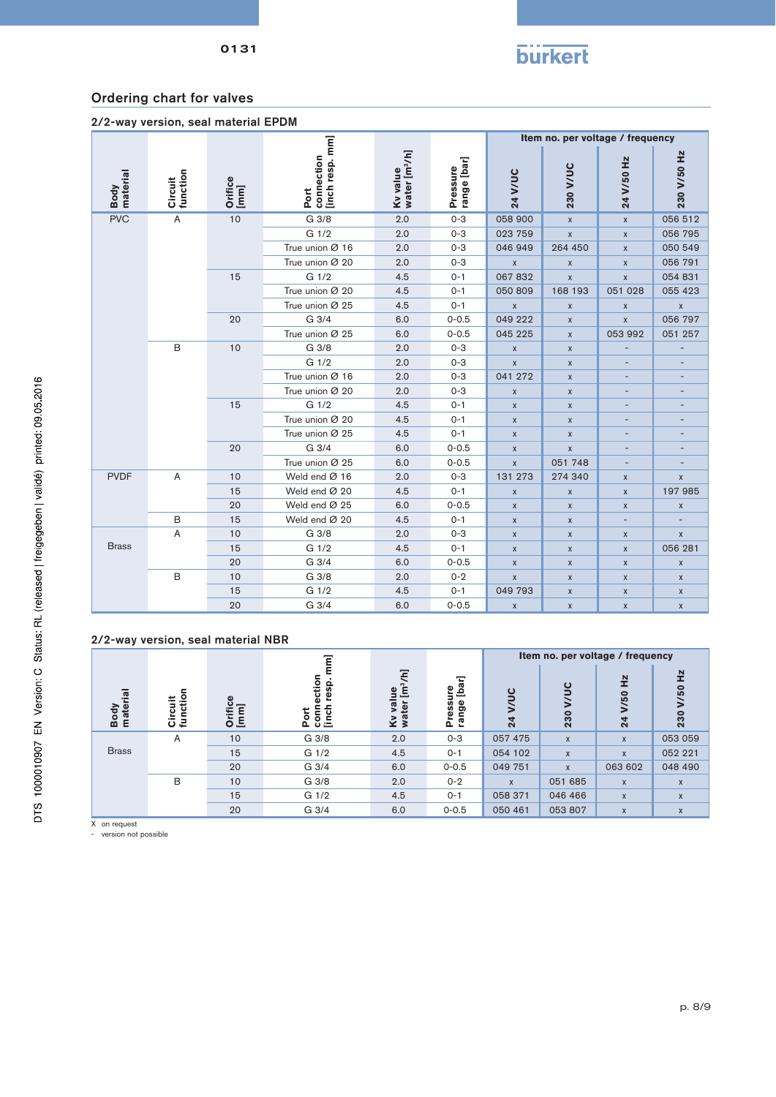

| 2/2-way version, seal material EPDM |  |  |  |
|-------------------------------------|--|--|--|
|-------------------------------------|--|--|--|

|                  |                     |                 |                                       |                                       |                         |                    |                    | Item no. per voltage / frequency |                          |                          |   |
|------------------|---------------------|-----------------|---------------------------------------|---------------------------------------|-------------------------|--------------------|--------------------|----------------------------------|--------------------------|--------------------------|---|
| Body<br>material | Circuit<br>function | Orifice<br>[mm] | [inch resp. mm]<br>connection<br>Port | Kv value<br>water [m <sup>3</sup> /h] | Pressure<br>range [bar] | 24 V/UC            | 230 V/UC           | 24 V/50 Hz                       | 230 V/50 Hz              |                          |   |
| <b>PVC</b>       | A                   | 10              | G 3/8                                 | 2.0                                   | $0 - 3$                 | 058 900            | $\mathsf{x}$       | $\mathsf{x}$                     | 056 512                  |                          |   |
|                  |                     |                 | G 1/2                                 | 2.0                                   | $0 - 3$                 | 023 759            | $\mathsf{x}$       | $\pmb{\chi}$                     | 056 795                  |                          |   |
|                  |                     |                 | True union Ø 16                       | 2.0                                   | $0 - 3$                 | 046 949            | 264 450            | $\pmb{\chi}$                     | 050 549                  |                          |   |
|                  |                     |                 | True union Ø 20                       | 2.0                                   | $0 - 3$                 | $\pmb{\chi}$       | X                  | $\pmb{\chi}$                     | 056 791                  |                          |   |
|                  |                     | 15              | G 1/2                                 | 4.5                                   | $0 - 1$                 | 067832             | $\pmb{\mathsf{x}}$ | $\pmb{\mathsf{X}}$               | 054 831                  |                          |   |
|                  |                     |                 | True union Ø 20                       | 4.5                                   | $0 - 1$                 | 050 809            | 168 193            | 051 028                          | 055 423                  |                          |   |
|                  |                     |                 | True union Ø 25                       | 4.5                                   | $0 - 1$                 | $\pmb{\chi}$       | X                  | $\pmb{\mathsf{X}}$               | $\pmb{\mathsf{X}}$       |                          |   |
|                  |                     | 20              | G 3/4                                 | 6.0                                   | $0 - 0.5$               | 049 222            | X                  | $\mathsf{x}$                     | 056 797                  |                          |   |
|                  |                     |                 | True union Ø 25                       | 6.0                                   | $0 - 0.5$               | 045 225            | X                  | 053 992                          | 051 257                  |                          |   |
|                  | B                   | 10              | G 3/8                                 | 2.0                                   | $0 - 3$                 | $\pmb{\chi}$       | X                  |                                  |                          |                          |   |
|                  |                     |                 | G 1/2                                 | 2.0                                   | $0 - 3$                 | $\pmb{\mathsf{X}}$ | X                  |                                  |                          |                          |   |
|                  |                     |                 | True union Ø 16                       | 2.0                                   | $0 - 3$                 | 041 272            | $\mathsf X$        | $\overline{a}$                   | $\overline{\phantom{0}}$ |                          |   |
|                  |                     |                 |                                       |                                       | True union Ø 20         | 2.0                | $0 - 3$            | $\pmb{\mathsf{X}}$               | $\pmb{\mathsf{X}}$       | $\overline{\phantom{a}}$ |   |
|                  |                     |                 |                                       |                                       |                         | 15                 | G <sub>1/2</sub>   | 4.5                              | $0 - 1$                  | $\mathsf{x}$             | X |
|                  |                     |                 | True union Ø 20                       | 4.5                                   | $0 - 1$                 | $\pmb{\chi}$       | X                  |                                  |                          |                          |   |
|                  |                     |                 | True union Ø 25                       | 4.5                                   | $0 - 1$                 | $\pmb{\mathsf{X}}$ | X                  |                                  |                          |                          |   |
|                  |                     | 20              | G 3/4                                 | 6.0                                   | $0 - 0.5$               | $\pmb{\mathsf{X}}$ | $\pmb{\mathsf{X}}$ | $\qquad \qquad -$                |                          |                          |   |
|                  |                     |                 | True union Ø 25                       | 6.0                                   | $0 - 0.5$               | $\mathsf{x}$       | 051 748            | ٠                                |                          |                          |   |
| <b>PVDF</b>      | Α                   | 10              | Weld end Ø 16                         | 2.0                                   | $0 - 3$                 | 131 273            | 274 340            | $\pmb{\mathsf{X}}$               | $\pmb{\mathsf{x}}$       |                          |   |
|                  |                     | 15              | Weld end Ø 20                         | 4.5                                   | $0 - 1$                 | $\pmb{\chi}$       | $\mathsf X$        | $\pmb{\chi}$                     | 197 985                  |                          |   |
|                  |                     | 20              | Weld end Ø 25                         | 6.0                                   | $0 - 0.5$               | $\pmb{\mathsf{X}}$ | X                  | $\pmb{\mathsf{X}}$               | $\mathsf X$              |                          |   |
|                  | B                   | 15              | Weld end Ø 20                         | 4.5                                   | $0 - 1$                 | $\pmb{\chi}$       | X                  | $\overline{a}$                   | $\overline{a}$           |                          |   |
|                  | Α                   | 10              | G 3/8                                 | 2.0                                   | $0 - 3$                 | $\mathsf{x}$       | X                  | $\pmb{\mathsf{X}}$               | $\mathsf X$              |                          |   |
| <b>Brass</b>     |                     | 15              | G 1/2                                 | 4.5                                   | $0 - 1$                 | $\mathsf{x}$       | X                  | $\pmb{\chi}$                     | 056 281                  |                          |   |
|                  |                     | 20              | G 3/4                                 | 6.0                                   | $0 - 0.5$               | $\pmb{\mathsf{X}}$ | X                  | $\pmb{\chi}$                     | $\mathsf X$              |                          |   |
|                  | B                   | 10              | G 3/8                                 | 2.0                                   | $0 - 2$                 | $\pmb{\chi}$       | X                  | $\pmb{\mathsf{X}}$               | X                        |                          |   |
|                  |                     | 15              | G 1/2                                 | 4.5                                   | $0 - 1$                 | 049 793            | X                  | $\pmb{\mathsf{X}}$               | $\mathsf X$              |                          |   |
|                  |                     | 20              | G 3/4                                 | 6.0                                   | $0 - 0.5$               | $\pmb{\mathsf{x}}$ | $\pmb{\mathsf{X}}$ | $\pmb{\mathsf{X}}$               | $\mathsf X$              |                          |   |

#### 2/2-way version, seal material NBR

|                  |                    |                                        |                                           |                                                   |                                      | Item no. per voltage / frequency        |                 |                                          |                       |
|------------------|--------------------|----------------------------------------|-------------------------------------------|---------------------------------------------------|--------------------------------------|-----------------------------------------|-----------------|------------------------------------------|-----------------------|
| Body<br>material | Circuit<br>functio | $\omega$<br>$\omega$<br>Orific<br>[mm] | ection<br>resp.<br>ne<br>Linch<br>ᇹ<br>Δ. | [m <sup>3</sup> /h]<br>9L<br>Ī<br>Kv val<br>water | [bar]<br><b>g</b><br>Pressi<br>range | $\overline{\mathbf{c}}$<br>$\mathbf{z}$ | <u>ပ</u><br>230 | $\frac{1}{2}$<br>V/50<br>$\overline{24}$ | 섶<br><b>SO</b><br>230 |
|                  | A                  | 10                                     | G 3/8                                     | 2.0                                               | $0 - 3$                              | 057 475                                 | $\mathsf{x}$    | $\mathsf{x}$                             | 053 059               |
| <b>Brass</b>     |                    | 15                                     | G <sub>1/2</sub>                          | 4.5                                               | $0 - 1$                              | 054 102                                 | $\mathsf{x}$    | $\boldsymbol{\mathsf{x}}$                | 052 221               |
|                  |                    | 20                                     | G 3/4                                     | 6.0                                               | $0 - 0.5$                            | 049 751                                 | $\mathsf{x}$    | 063 602                                  | 048 490               |
|                  | B                  | 10                                     | G 3/8                                     | 2.0                                               | $0 - 2$                              | $\mathsf{x}$                            | 051 685         | $\mathsf{x}$                             | $\mathsf{x}$          |
|                  |                    | 15                                     | G <sub>1/2</sub>                          | 4.5                                               | $0 - 1$                              | 058 371                                 | 046 466         | $\boldsymbol{\mathsf{x}}$                | X                     |
|                  |                    | 20                                     | G 3/4                                     | 6.0                                               | $0 - 0.5$                            | 050 461                                 | 053 807         | X                                        | X                     |

X on request

- version not possible